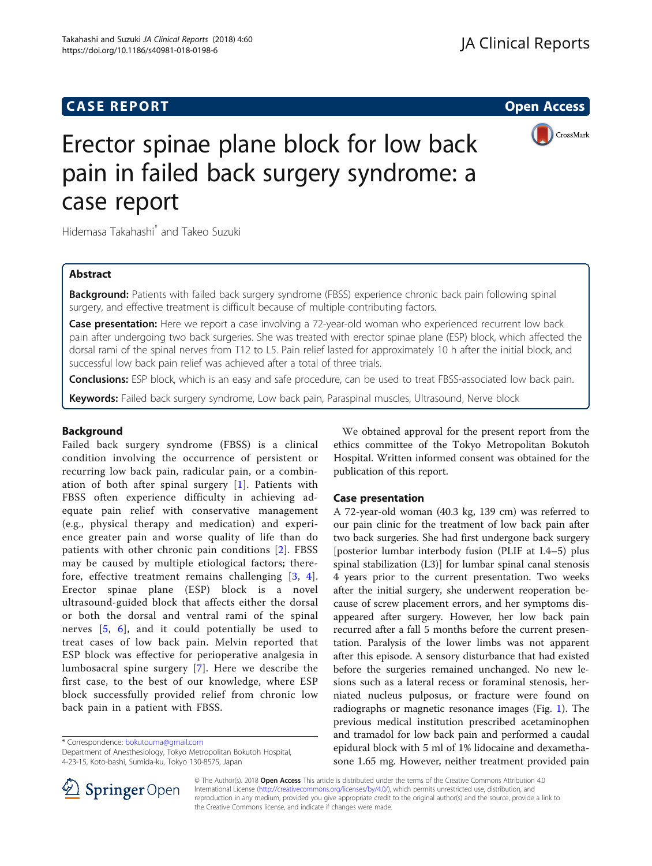## **CASE REPORT CASE REPORT CASE REPORT**



# Erector spinae plane block for low back pain in failed back surgery syndrome: a case report

Hidemasa Takahashi\* and Takeo Suzuki

## Abstract

Background: Patients with failed back surgery syndrome (FBSS) experience chronic back pain following spinal surgery, and effective treatment is difficult because of multiple contributing factors.

Case presentation: Here we report a case involving a 72-year-old woman who experienced recurrent low back pain after undergoing two back surgeries. She was treated with erector spinae plane (ESP) block, which affected the dorsal rami of the spinal nerves from T12 to L5. Pain relief lasted for approximately 10 h after the initial block, and successful low back pain relief was achieved after a total of three trials.

Conclusions: ESP block, which is an easy and safe procedure, can be used to treat FBSS-associated low back pain.

Keywords: Failed back surgery syndrome, Low back pain, Paraspinal muscles, Ultrasound, Nerve block

## Background

Failed back surgery syndrome (FBSS) is a clinical condition involving the occurrence of persistent or recurring low back pain, radicular pain, or a combination of both after spinal surgery  $[1]$  $[1]$ . Patients with FBSS often experience difficulty in achieving adequate pain relief with conservative management (e.g., physical therapy and medication) and experience greater pain and worse quality of life than do patients with other chronic pain conditions [\[2](#page-3-0)]. FBSS may be caused by multiple etiological factors; therefore, effective treatment remains challenging [[3,](#page-3-0) [4](#page-3-0)]. Erector spinae plane (ESP) block is a novel ultrasound-guided block that affects either the dorsal or both the dorsal and ventral rami of the spinal nerves [[5](#page-3-0), [6\]](#page-3-0), and it could potentially be used to treat cases of low back pain. Melvin reported that ESP block was effective for perioperative analgesia in lumbosacral spine surgery [[7\]](#page-3-0). Here we describe the first case, to the best of our knowledge, where ESP block successfully provided relief from chronic low back pain in a patient with FBSS.

\* Correspondence: [bokutouma@gmail.com](mailto:bokutouma@gmail.com)



## Case presentation

A 72-year-old woman (40.3 kg, 139 cm) was referred to our pain clinic for the treatment of low back pain after two back surgeries. She had first undergone back surgery [posterior lumbar interbody fusion (PLIF at L4–5) plus spinal stabilization (L3)] for lumbar spinal canal stenosis 4 years prior to the current presentation. Two weeks after the initial surgery, she underwent reoperation because of screw placement errors, and her symptoms disappeared after surgery. However, her low back pain recurred after a fall 5 months before the current presentation. Paralysis of the lower limbs was not apparent after this episode. A sensory disturbance that had existed before the surgeries remained unchanged. No new lesions such as a lateral recess or foraminal stenosis, herniated nucleus pulposus, or fracture were found on radiographs or magnetic resonance images (Fig. [1](#page-1-0)). The previous medical institution prescribed acetaminophen and tramadol for low back pain and performed a caudal epidural block with 5 ml of 1% lidocaine and dexamethasone 1.65 mg. However, neither treatment provided pain



© The Author(s). 2018 Open Access This article is distributed under the terms of the Creative Commons Attribution 4.0 International License ([http://creativecommons.org/licenses/by/4.0/\)](http://creativecommons.org/licenses/by/4.0/), which permits unrestricted use, distribution, and reproduction in any medium, provided you give appropriate credit to the original author(s) and the source, provide a link to the Creative Commons license, and indicate if changes were made.

Department of Anesthesiology, Tokyo Metropolitan Bokutoh Hospital, 4-23-15, Koto-bashi, Sumida-ku, Tokyo 130-8575, Japan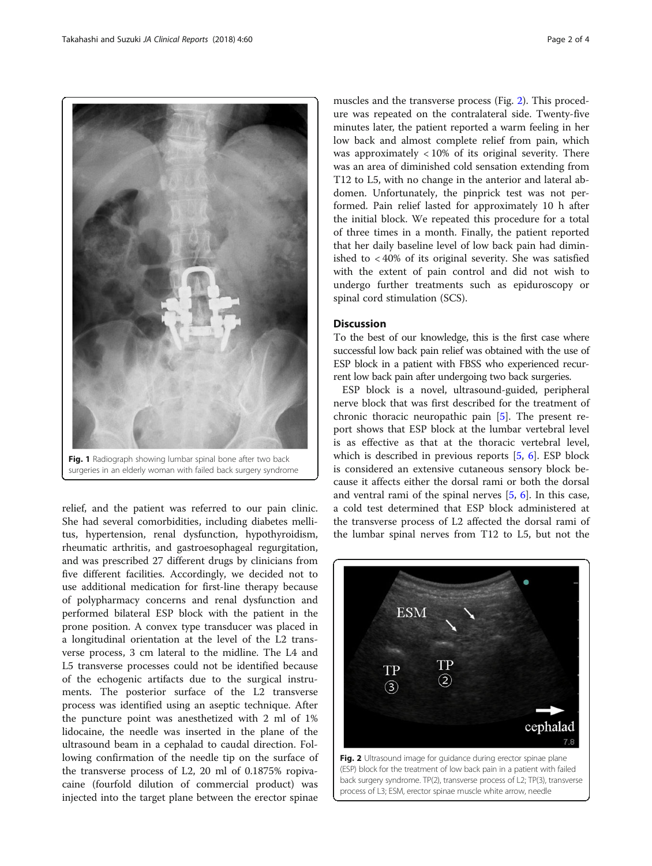<span id="page-1-0"></span>

Fig. 1 Radiograph showing lumbar spinal bone after two back surgeries in an elderly woman with failed back surgery syndrome

relief, and the patient was referred to our pain clinic. She had several comorbidities, including diabetes mellitus, hypertension, renal dysfunction, hypothyroidism, rheumatic arthritis, and gastroesophageal regurgitation, and was prescribed 27 different drugs by clinicians from five different facilities. Accordingly, we decided not to use additional medication for first-line therapy because of polypharmacy concerns and renal dysfunction and performed bilateral ESP block with the patient in the prone position. A convex type transducer was placed in a longitudinal orientation at the level of the L2 transverse process, 3 cm lateral to the midline. The L4 and L5 transverse processes could not be identified because of the echogenic artifacts due to the surgical instruments. The posterior surface of the L2 transverse process was identified using an aseptic technique. After the puncture point was anesthetized with 2 ml of 1% lidocaine, the needle was inserted in the plane of the ultrasound beam in a cephalad to caudal direction. Following confirmation of the needle tip on the surface of the transverse process of L2, 20 ml of 0.1875% ropivacaine (fourfold dilution of commercial product) was injected into the target plane between the erector spinae

muscles and the transverse process (Fig. 2). This procedure was repeated on the contralateral side. Twenty-five minutes later, the patient reported a warm feeling in her low back and almost complete relief from pain, which was approximately < 10% of its original severity. There was an area of diminished cold sensation extending from T12 to L5, with no change in the anterior and lateral abdomen. Unfortunately, the pinprick test was not performed. Pain relief lasted for approximately 10 h after the initial block. We repeated this procedure for a total of three times in a month. Finally, the patient reported that her daily baseline level of low back pain had diminished to < 40% of its original severity. She was satisfied with the extent of pain control and did not wish to undergo further treatments such as epiduroscopy or spinal cord stimulation (SCS).

## **Discussion**

To the best of our knowledge, this is the first case where successful low back pain relief was obtained with the use of ESP block in a patient with FBSS who experienced recurrent low back pain after undergoing two back surgeries.

ESP block is a novel, ultrasound-guided, peripheral nerve block that was first described for the treatment of chronic thoracic neuropathic pain [[5\]](#page-3-0). The present report shows that ESP block at the lumbar vertebral level is as effective as that at the thoracic vertebral level, which is described in previous reports [[5,](#page-3-0) [6\]](#page-3-0). ESP block is considered an extensive cutaneous sensory block because it affects either the dorsal rami or both the dorsal and ventral rami of the spinal nerves [[5,](#page-3-0) [6](#page-3-0)]. In this case, a cold test determined that ESP block administered at the transverse process of L2 affected the dorsal rami of the lumbar spinal nerves from T12 to L5, but not the



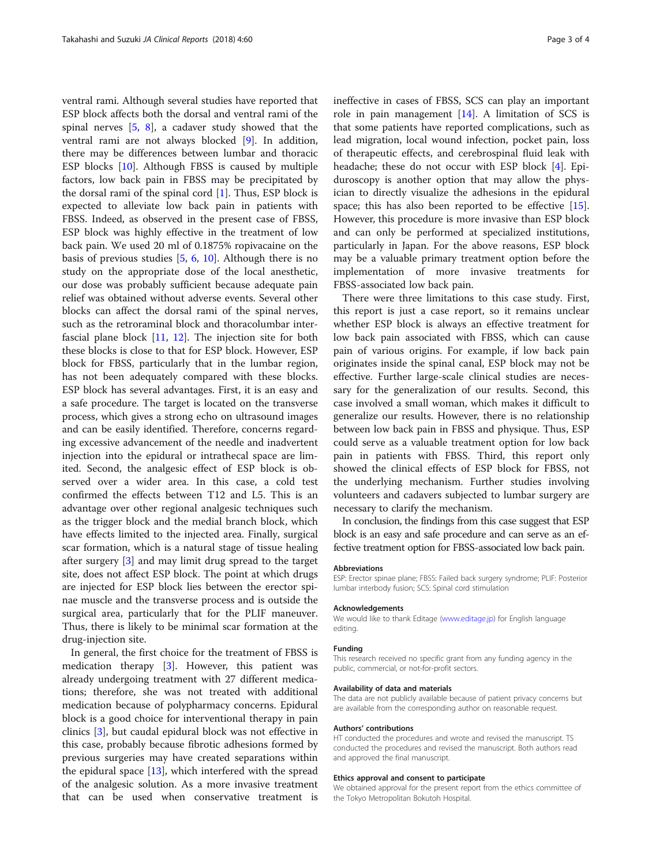ventral rami. Although several studies have reported that ESP block affects both the dorsal and ventral rami of the spinal nerves [[5](#page-3-0), [8\]](#page-3-0), a cadaver study showed that the ventral rami are not always blocked [[9\]](#page-3-0). In addition, there may be differences between lumbar and thoracic ESP blocks [\[10\]](#page-3-0). Although FBSS is caused by multiple factors, low back pain in FBSS may be precipitated by the dorsal rami of the spinal cord  $[1]$  $[1]$  $[1]$ . Thus, ESP block is expected to alleviate low back pain in patients with FBSS. Indeed, as observed in the present case of FBSS, ESP block was highly effective in the treatment of low back pain. We used 20 ml of 0.1875% ropivacaine on the basis of previous studies [\[5](#page-3-0), [6,](#page-3-0) [10](#page-3-0)]. Although there is no study on the appropriate dose of the local anesthetic, our dose was probably sufficient because adequate pain relief was obtained without adverse events. Several other blocks can affect the dorsal rami of the spinal nerves, such as the retroraminal block and thoracolumbar interfascial plane block [[11,](#page-3-0) [12\]](#page-3-0). The injection site for both these blocks is close to that for ESP block. However, ESP block for FBSS, particularly that in the lumbar region, has not been adequately compared with these blocks. ESP block has several advantages. First, it is an easy and a safe procedure. The target is located on the transverse process, which gives a strong echo on ultrasound images and can be easily identified. Therefore, concerns regarding excessive advancement of the needle and inadvertent injection into the epidural or intrathecal space are limited. Second, the analgesic effect of ESP block is observed over a wider area. In this case, a cold test confirmed the effects between T12 and L5. This is an advantage over other regional analgesic techniques such as the trigger block and the medial branch block, which have effects limited to the injected area. Finally, surgical scar formation, which is a natural stage of tissue healing after surgery [[3\]](#page-3-0) and may limit drug spread to the target site, does not affect ESP block. The point at which drugs are injected for ESP block lies between the erector spinae muscle and the transverse process and is outside the surgical area, particularly that for the PLIF maneuver. Thus, there is likely to be minimal scar formation at the drug-injection site.

In general, the first choice for the treatment of FBSS is medication therapy [[3\]](#page-3-0). However, this patient was already undergoing treatment with 27 different medications; therefore, she was not treated with additional medication because of polypharmacy concerns. Epidural block is a good choice for interventional therapy in pain clinics [[3\]](#page-3-0), but caudal epidural block was not effective in this case, probably because fibrotic adhesions formed by previous surgeries may have created separations within the epidural space  $[13]$  $[13]$ , which interfered with the spread of the analgesic solution. As a more invasive treatment that can be used when conservative treatment is ineffective in cases of FBSS, SCS can play an important role in pain management  $[14]$  $[14]$ . A limitation of SCS is that some patients have reported complications, such as lead migration, local wound infection, pocket pain, loss of therapeutic effects, and cerebrospinal fluid leak with headache; these do not occur with ESP block [\[4](#page-3-0)]. Epiduroscopy is another option that may allow the physician to directly visualize the adhesions in the epidural space; this has also been reported to be effective [\[15](#page-3-0)]. However, this procedure is more invasive than ESP block and can only be performed at specialized institutions, particularly in Japan. For the above reasons, ESP block may be a valuable primary treatment option before the implementation of more invasive treatments for FBSS-associated low back pain.

There were three limitations to this case study. First, this report is just a case report, so it remains unclear whether ESP block is always an effective treatment for low back pain associated with FBSS, which can cause pain of various origins. For example, if low back pain originates inside the spinal canal, ESP block may not be effective. Further large-scale clinical studies are necessary for the generalization of our results. Second, this case involved a small woman, which makes it difficult to generalize our results. However, there is no relationship between low back pain in FBSS and physique. Thus, ESP could serve as a valuable treatment option for low back pain in patients with FBSS. Third, this report only showed the clinical effects of ESP block for FBSS, not the underlying mechanism. Further studies involving volunteers and cadavers subjected to lumbar surgery are necessary to clarify the mechanism.

In conclusion, the findings from this case suggest that ESP block is an easy and safe procedure and can serve as an effective treatment option for FBSS-associated low back pain.

#### Abbreviations

ESP: Erector spinae plane; FBSS: Failed back surgery syndrome; PLIF: Posterior lumbar interbody fusion; SCS: Spinal cord stimulation

#### Acknowledgements

We would like to thank Editage [\(www.editage.jp\)](http://www.editage.jp) for English language editing.

#### Funding

This research received no specific grant from any funding agency in the public, commercial, or not-for-profit sectors.

#### Availability of data and materials

The data are not publicly available because of patient privacy concerns but are available from the corresponding author on reasonable request.

#### Authors' contributions

HT conducted the procedures and wrote and revised the manuscript. TS conducted the procedures and revised the manuscript. Both authors read and approved the final manuscript.

#### Ethics approval and consent to participate

We obtained approval for the present report from the ethics committee of the Tokyo Metropolitan Bokutoh Hospital.